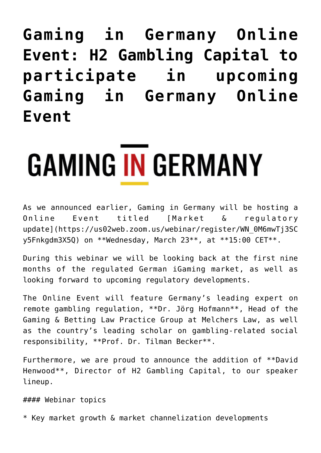**[Gaming in Germany Online](https://www.isa-guide.de/english-news/articles/268592.html) [Event: H2 Gambling Capital to](https://www.isa-guide.de/english-news/articles/268592.html) [participate in upcoming](https://www.isa-guide.de/english-news/articles/268592.html) [Gaming in Germany Online](https://www.isa-guide.de/english-news/articles/268592.html) [Event](https://www.isa-guide.de/english-news/articles/268592.html)**

## **GAMING IN GERMANY**

As we announced earlier, Gaming in Germany will be hosting a Online Event titled [Market & regulatory update](https://us02web.zoom.us/webinar/register/WN\_0M6mwTj3SC y5Fnkgdm3X5Q) on \*\*Wednesday, March 23\*\*, at \*\*15:00 CET\*\*.

During this webinar we will be looking back at the first nine months of the regulated German iGaming market, as well as looking forward to upcoming regulatory developments.

The Online Event will feature Germany's leading expert on remote gambling regulation, \*\*Dr. Jörg Hofmann\*\*, Head of the Gaming & Betting Law Practice Group at Melchers Law, as well as the country's leading scholar on gambling-related social responsibility, \*\*Prof. Dr. Tilman Becker\*\*.

Furthermore, we are proud to announce the addition of \*\*David Henwood\*\*, Director of H2 Gambling Capital, to our speaker lineup.

#### Webinar topics

\* Key market growth & market channelization developments